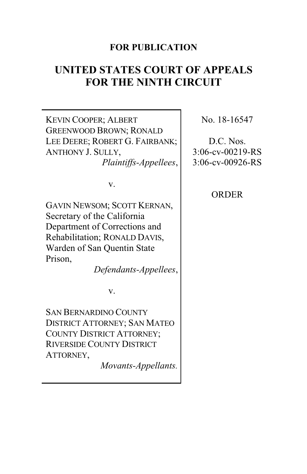# **FOR PUBLICATION**

# **UNITED STATES COURT OF APPEALS FOR THE NINTH CIRCUIT**

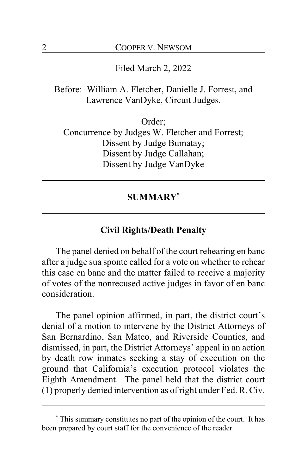Filed March 2, 2022

Before: William A. Fletcher, Danielle J. Forrest, and Lawrence VanDyke, Circuit Judges.

Order; Concurrence by Judges W. Fletcher and Forrest; Dissent by Judge Bumatay; Dissent by Judge Callahan; Dissent by Judge VanDyke

# **SUMMARY\***

## **Civil Rights/Death Penalty**

The panel denied on behalf of the court rehearing en banc after a judge sua sponte called for a vote on whether to rehear this case en banc and the matter failed to receive a majority of votes of the nonrecused active judges in favor of en banc consideration.

The panel opinion affirmed, in part, the district court's denial of a motion to intervene by the District Attorneys of San Bernardino, San Mateo, and Riverside Counties, and dismissed, in part, the District Attorneys' appeal in an action by death row inmates seeking a stay of execution on the ground that California's execution protocol violates the Eighth Amendment. The panel held that the district court (1) properly denied intervention as of right under Fed. R. Civ.

**<sup>\*</sup>** This summary constitutes no part of the opinion of the court. It has been prepared by court staff for the convenience of the reader.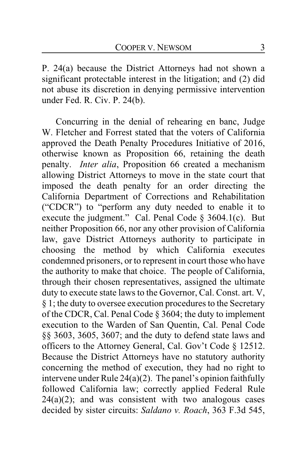P. 24(a) because the District Attorneys had not shown a significant protectable interest in the litigation; and (2) did not abuse its discretion in denying permissive intervention under Fed. R. Civ. P. 24(b).

Concurring in the denial of rehearing en banc, Judge W. Fletcher and Forrest stated that the voters of California approved the Death Penalty Procedures Initiative of 2016, otherwise known as Proposition 66, retaining the death penalty. *Inter alia*, Proposition 66 created a mechanism allowing District Attorneys to move in the state court that imposed the death penalty for an order directing the California Department of Corrections and Rehabilitation ("CDCR") to "perform any duty needed to enable it to execute the judgment." Cal. Penal Code § 3604.1(c). But neither Proposition 66, nor any other provision of California law, gave District Attorneys authority to participate in choosing the method by which California executes condemned prisoners, or to represent in court those who have the authority to make that choice. The people of California, through their chosen representatives, assigned the ultimate duty to execute state laws to the Governor, Cal. Const. art. V, § 1; the duty to oversee execution procedures to the Secretary of the CDCR, Cal. Penal Code § 3604; the duty to implement execution to the Warden of San Quentin, Cal. Penal Code §§ 3603, 3605, 3607; and the duty to defend state laws and officers to the Attorney General, Cal. Gov't Code § 12512. Because the District Attorneys have no statutory authority concerning the method of execution, they had no right to intervene under Rule 24(a)(2). The panel's opinion faithfully followed California law; correctly applied Federal Rule  $24(a)(2)$ ; and was consistent with two analogous cases decided by sister circuits: *Saldano v. Roach*, 363 F.3d 545,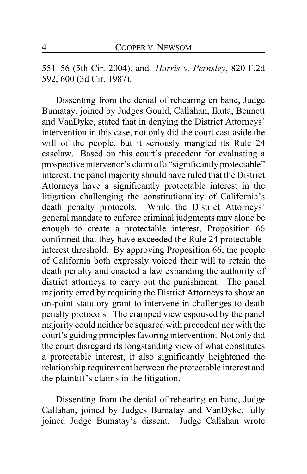551–56 (5th Cir. 2004), and *Harris v. Pernsley*, 820 F.2d 592, 600 (3d Cir. 1987).

Dissenting from the denial of rehearing en banc, Judge Bumatay, joined by Judges Gould, Callahan, Ikuta, Bennett and VanDyke, stated that in denying the District Attorneys' intervention in this case, not only did the court cast aside the will of the people, but it seriously mangled its Rule 24 caselaw. Based on this court's precedent for evaluating a prospective intervenor's claim of a "significantly protectable" interest, the panel majority should have ruled that the District Attorneys have a significantly protectable interest in the litigation challenging the constitutionality of California's death penalty protocols. While the District Attorneys' general mandate to enforce criminal judgments may alone be enough to create a protectable interest, Proposition 66 confirmed that they have exceeded the Rule 24 protectableinterest threshold. By approving Proposition 66, the people of California both expressly voiced their will to retain the death penalty and enacted a law expanding the authority of district attorneys to carry out the punishment. The panel majority erred by requiring the District Attorneys to show an on-point statutory grant to intervene in challenges to death penalty protocols. The cramped view espoused by the panel majority could neither be squared with precedent nor with the court's guiding principles favoring intervention. Not only did the court disregard its longstanding view of what constitutes a protectable interest, it also significantly heightened the relationship requirement between the protectable interest and the plaintiff's claims in the litigation.

Dissenting from the denial of rehearing en banc, Judge Callahan, joined by Judges Bumatay and VanDyke, fully joined Judge Bumatay's dissent. Judge Callahan wrote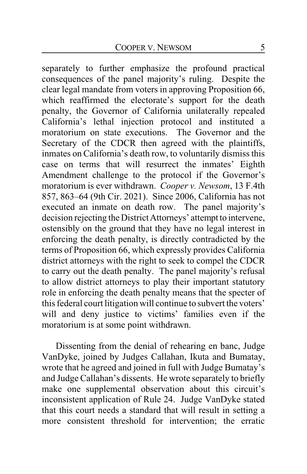separately to further emphasize the profound practical consequences of the panel majority's ruling. Despite the clear legal mandate from voters in approving Proposition 66, which reaffirmed the electorate's support for the death penalty, the Governor of California unilaterally repealed California's lethal injection protocol and instituted a moratorium on state executions. The Governor and the Secretary of the CDCR then agreed with the plaintiffs, inmates on California's death row, to voluntarily dismiss this case on terms that will resurrect the inmates' Eighth Amendment challenge to the protocol if the Governor's moratorium is ever withdrawn. *Cooper v. Newsom*, 13 F.4th 857, 863–64 (9th Cir. 2021). Since 2006, California has not executed an inmate on death row. The panel majority's decision rejecting the District Attorneys' attempt to intervene, ostensibly on the ground that they have no legal interest in enforcing the death penalty, is directly contradicted by the terms of Proposition 66, which expressly provides California district attorneys with the right to seek to compel the CDCR to carry out the death penalty. The panel majority's refusal to allow district attorneys to play their important statutory role in enforcing the death penalty means that the specter of this federal court litigation will continue to subvert the voters' will and deny justice to victims' families even if the moratorium is at some point withdrawn.

Dissenting from the denial of rehearing en banc, Judge VanDyke, joined by Judges Callahan, Ikuta and Bumatay, wrote that he agreed and joined in full with Judge Bumatay's and Judge Callahan's dissents. He wrote separately to briefly make one supplemental observation about this circuit's inconsistent application of Rule 24. Judge VanDyke stated that this court needs a standard that will result in setting a more consistent threshold for intervention; the erratic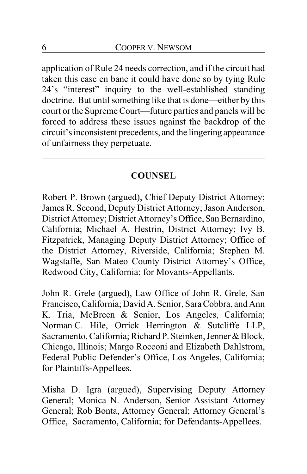application of Rule 24 needs correction, and if the circuit had taken this case en banc it could have done so by tying Rule 24's "interest" inquiry to the well-established standing doctrine. But until something like that is done—either by this court or the Supreme Court—future parties and panels will be forced to address these issues against the backdrop of the circuit's inconsistent precedents, and the lingering appearance of unfairness they perpetuate.

# **COUNSEL**

Robert P. Brown (argued), Chief Deputy District Attorney; James R. Second, Deputy District Attorney; Jason Anderson, District Attorney; District Attorney's Office, San Bernardino, California; Michael A. Hestrin, District Attorney; Ivy B. Fitzpatrick, Managing Deputy District Attorney; Office of the District Attorney, Riverside, California; Stephen M. Wagstaffe, San Mateo County District Attorney's Office, Redwood City, California; for Movants-Appellants.

John R. Grele (argued), Law Office of John R. Grele, San Francisco,California; DavidA. Senior, Sara Cobbra, and Ann K. Tria, McBreen & Senior, Los Angeles, California; Norman C. Hile, Orrick Herrington & Sutcliffe LLP, Sacramento, California; Richard P. Steinken, Jenner & Block, Chicago, Illinois; Margo Rocconi and Elizabeth Dahlstrom, Federal Public Defender's Office, Los Angeles, California; for Plaintiffs-Appellees.

Misha D. Igra (argued), Supervising Deputy Attorney General; Monica N. Anderson, Senior Assistant Attorney General; Rob Bonta, Attorney General; Attorney General's Office, Sacramento, California; for Defendants-Appellees.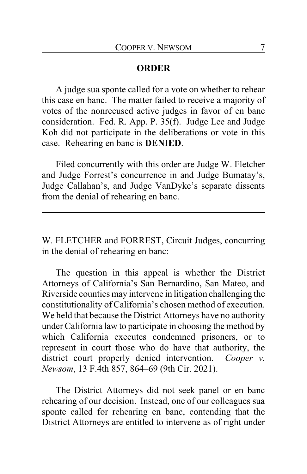## **ORDER**

A judge sua sponte called for a vote on whether to rehear this case en banc. The matter failed to receive a majority of votes of the nonrecused active judges in favor of en banc consideration. Fed. R. App. P. 35(f). Judge Lee and Judge Koh did not participate in the deliberations or vote in this case. Rehearing en banc is **DENIED**.

Filed concurrently with this order are Judge W. Fletcher and Judge Forrest's concurrence in and Judge Bumatay's, Judge Callahan's, and Judge VanDyke's separate dissents from the denial of rehearing en banc.

W. FLETCHER and FORREST, Circuit Judges, concurring in the denial of rehearing en banc:

The question in this appeal is whether the District Attorneys of California's San Bernardino, San Mateo, and Riverside counties may intervene in litigation challenging the constitutionality of California's chosen method of execution. We held that because the District Attorneys have no authority under California law to participate in choosing the method by which California executes condemned prisoners, or to represent in court those who do have that authority, the district court properly denied intervention. *Cooper v. Newsom*, 13 F.4th 857, 864–69 (9th Cir. 2021).

The District Attorneys did not seek panel or en banc rehearing of our decision. Instead, one of our colleagues sua sponte called for rehearing en banc, contending that the District Attorneys are entitled to intervene as of right under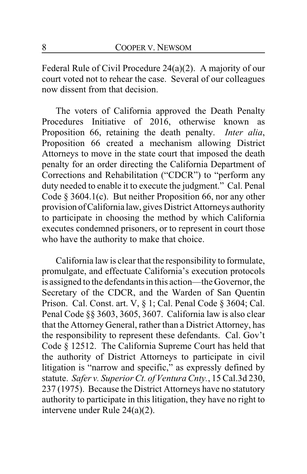Federal Rule of Civil Procedure 24(a)(2). A majority of our court voted not to rehear the case. Several of our colleagues now dissent from that decision.

The voters of California approved the Death Penalty Procedures Initiative of 2016, otherwise known as Proposition 66, retaining the death penalty. *Inter alia*, Proposition 66 created a mechanism allowing District Attorneys to move in the state court that imposed the death penalty for an order directing the California Department of Corrections and Rehabilitation ("CDCR") to "perform any duty needed to enable it to execute the judgment." Cal. Penal Code § 3604.1(c). But neither Proposition 66, nor any other provision ofCalifornia law, gives District Attorneys authority to participate in choosing the method by which California executes condemned prisoners, or to represent in court those who have the authority to make that choice.

California law is clear that the responsibility to formulate, promulgate, and effectuate California's execution protocols is assigned to the defendants in this action—the Governor, the Secretary of the CDCR, and the Warden of San Quentin Prison. Cal. Const. art. V, § 1; Cal. Penal Code § 3604; Cal. Penal Code §§ 3603, 3605, 3607. California law is also clear that the Attorney General, rather than a District Attorney, has the responsibility to represent these defendants. Cal. Gov't Code § 12512. The California Supreme Court has held that the authority of District Attorneys to participate in civil litigation is "narrow and specific," as expressly defined by statute. *Safer v. Superior Ct. of Ventura Cnty.*, 15 Cal.3d 230, 237 (1975). Because the District Attorneys have no statutory authority to participate in this litigation, they have no right to intervene under Rule 24(a)(2).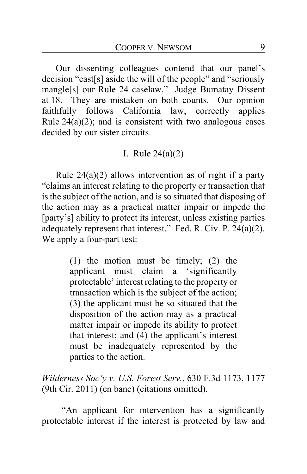Our dissenting colleagues contend that our panel's decision "cast[s] aside the will of the people" and "seriously mangle[s] our Rule 24 caselaw." Judge Bumatay Dissent at 18. They are mistaken on both counts. Our opinion faithfully follows California law; correctly applies Rule  $24(a)(2)$ ; and is consistent with two analogous cases decided by our sister circuits.

## I. Rule 24(a)(2)

Rule  $24(a)(2)$  allows intervention as of right if a party "claims an interest relating to the property or transaction that is the subject of the action, and is so situated that disposing of the action may as a practical matter impair or impede the [party's] ability to protect its interest, unless existing parties adequately represent that interest." Fed. R. Civ. P. 24(a)(2). We apply a four-part test:

> (1) the motion must be timely; (2) the applicant must claim a 'significantly protectable' interest relating to the property or transaction which is the subject of the action; (3) the applicant must be so situated that the disposition of the action may as a practical matter impair or impede its ability to protect that interest; and (4) the applicant's interest must be inadequately represented by the parties to the action.

*Wilderness Soc'y v. U.S. Forest Serv.*, 630 F.3d 1173, 1177 (9th Cir. 2011) (en banc) (citations omitted).

"An applicant for intervention has a significantly protectable interest if the interest is protected by law and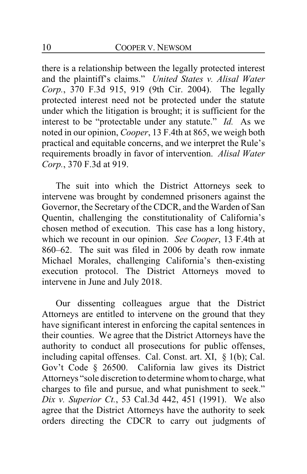there is a relationship between the legally protected interest and the plaintiff's claims." *United States v. Alisal Water Corp.*, 370 F.3d 915, 919 (9th Cir. 2004). The legally protected interest need not be protected under the statute under which the litigation is brought; it is sufficient for the interest to be "protectable under any statute." *Id.* As we noted in our opinion, *Cooper*, 13 F.4th at 865, we weigh both practical and equitable concerns, and we interpret the Rule's requirements broadly in favor of intervention. *Alisal Water Corp.*, 370 F.3d at 919.

The suit into which the District Attorneys seek to intervene was brought by condemned prisoners against the Governor, the Secretary of the CDCR, and the Warden of San Quentin, challenging the constitutionality of California's chosen method of execution. This case has a long history, which we recount in our opinion. *See Cooper*, 13 F.4th at 860–62. The suit was filed in 2006 by death row inmate Michael Morales, challenging California's then-existing execution protocol. The District Attorneys moved to intervene in June and July 2018.

Our dissenting colleagues argue that the District Attorneys are entitled to intervene on the ground that they have significant interest in enforcing the capital sentences in their counties. We agree that the District Attorneys have the authority to conduct all prosecutions for public offenses, including capital offenses. Cal. Const. art. XI, § 1(b); Cal. Gov't Code § 26500. California law gives its District Attorneys "sole discretion to determine whom to charge, what charges to file and pursue, and what punishment to seek." *Dix v. Superior Ct.*, 53 Cal.3d 442, 451 (1991). We also agree that the District Attorneys have the authority to seek orders directing the CDCR to carry out judgments of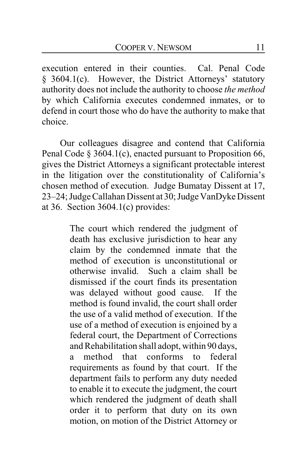execution entered in their counties. Cal. Penal Code § 3604.1(c). However, the District Attorneys' statutory authority does not include the authority to choose *the method* by which California executes condemned inmates, or to defend in court those who do have the authority to make that choice.

Our colleagues disagree and contend that California Penal Code § 3604.1(c), enacted pursuant to Proposition 66, gives the District Attorneys a significant protectable interest in the litigation over the constitutionality of California's chosen method of execution. Judge Bumatay Dissent at 17, 23–24; Judge Callahan Dissent at 30; Judge VanDyke Dissent at 36. Section  $3604.1(c)$  provides:

> The court which rendered the judgment of death has exclusive jurisdiction to hear any claim by the condemned inmate that the method of execution is unconstitutional or otherwise invalid. Such a claim shall be dismissed if the court finds its presentation was delayed without good cause. If the method is found invalid, the court shall order the use of a valid method of execution. If the use of a method of execution is enjoined by a federal court, the Department of Corrections and Rehabilitation shall adopt, within 90 days, a method that conforms to federal requirements as found by that court. If the department fails to perform any duty needed to enable it to execute the judgment, the court which rendered the judgment of death shall order it to perform that duty on its own motion, on motion of the District Attorney or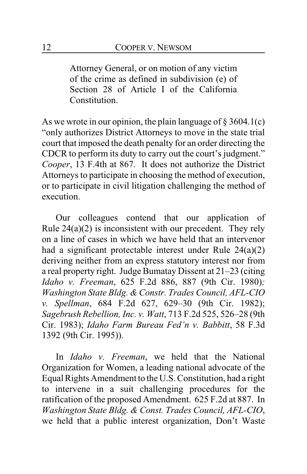Attorney General, or on motion of any victim of the crime as defined in subdivision (e) of Section 28 of Article I of the California Constitution.

As we wrote in our opinion, the plain language of  $\S 3604.1(c)$ "only authorizes District Attorneys to move in the state trial court that imposed the death penalty for an order directing the CDCR to perform its duty to carry out the court's judgment." *Cooper*, 13 F.4th at 867. It does not authorize the District Attorneys to participate in choosing the method of execution, or to participate in civil litigation challenging the method of execution.

Our colleagues contend that our application of Rule 24(a)(2) is inconsistent with our precedent. They rely on a line of cases in which we have held that an intervenor had a significant protectable interest under Rule 24(a)(2) deriving neither from an express statutory interest nor from a real property right. Judge Bumatay Dissent at 21–23 (citing *Idaho v. Freeman*, 625 F.2d 886, 887 (9th Cir. 1980)*; Washington State Bldg. & Constr. Trades Council, AFL-CIO v. Spellman*, 684 F.2d 627, 629–30 (9th Cir. 1982); *Sagebrush Rebellion, Inc. v. Watt*, 713 F.2d 525, 526–28 (9th Cir. 1983); *Idaho Farm Bureau Fed'n v. Babbitt*, 58 F.3d 1392 (9th Cir. 1995)).

In *Idaho v. Freeman*, we held that the National Organization for Women, a leading national advocate of the Equal Rights Amendment to the U.S. Constitution, had a right to intervene in a suit challenging procedures for the ratification of the proposed Amendment. 625 F.2d at 887. In *Washington State Bldg. & Const. Trades Council, AFL-CIO*, we held that a public interest organization, Don't Waste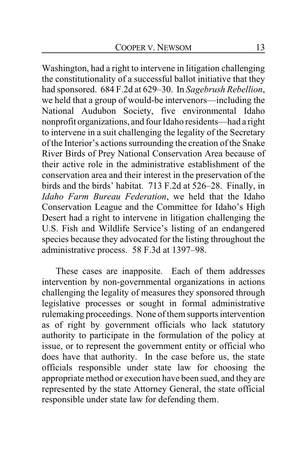Washington, had a right to intervene in litigation challenging the constitutionality of a successful ballot initiative that they had sponsored. 684 F.2d at 629–30. In *Sagebrush Rebellion*, we held that a group of would-be intervenors—including the National Audubon Society, five environmental Idaho nonprofit organizations, and four Idaho residents—had a right to intervene in a suit challenging the legality of the Secretary of the Interior's actions surrounding the creation of the Snake River Birds of Prey National Conservation Area because of their active role in the administrative establishment of the conservation area and their interest in the preservation of the birds and the birds' habitat. 713 F.2d at 526–28. Finally, in *Idaho Farm Bureau Federation*, we held that the Idaho Conservation League and the Committee for Idaho's High Desert had a right to intervene in litigation challenging the U.S. Fish and Wildlife Service's listing of an endangered species because they advocated for the listing throughout the administrative process. 58 F.3d at 1397–98.

These cases are inapposite. Each of them addresses intervention by non-governmental organizations in actions challenging the legality of measures they sponsored through legislative processes or sought in formal administrative rulemaking proceedings. None of themsupports intervention as of right by government officials who lack statutory authority to participate in the formulation of the policy at issue, or to represent the government entity or official who does have that authority. In the case before us, the state officials responsible under state law for choosing the appropriate method or execution have been sued, and they are represented by the state Attorney General, the state official responsible under state law for defending them.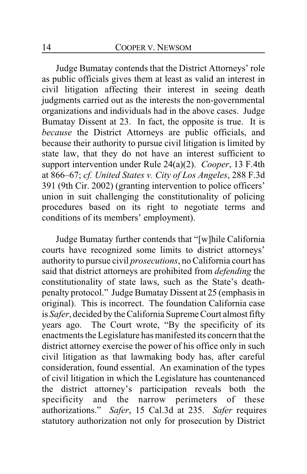Judge Bumatay contends that the District Attorneys' role as public officials gives them at least as valid an interest in civil litigation affecting their interest in seeing death judgments carried out as the interests the non-governmental organizations and individuals had in the above cases. Judge Bumatay Dissent at 23. In fact, the opposite is true. It is *because* the District Attorneys are public officials, and because their authority to pursue civil litigation is limited by state law, that they do not have an interest sufficient to support intervention under Rule 24(a)(2). *Cooper*, 13 F.4th at 866–67; *cf. United States v. City of Los Angeles*, 288 F.3d 391 (9th Cir. 2002) (granting intervention to police officers' union in suit challenging the constitutionality of policing procedures based on its right to negotiate terms and conditions of its members' employment).

Judge Bumatay further contends that "[w]hile California courts have recognized some limits to district attorneys' authority to pursue civil *prosecutions*, no California court has said that district attorneys are prohibited from *defending* the constitutionality of state laws, such as the State's deathpenalty protocol." Judge Bumatay Dissent at 25 (emphasis in original). This is incorrect. The foundation California case is *Safer*, decided by the California Supreme Court almost fifty years ago. The Court wrote, "By the specificity of its enactments the Legislature has manifested its concern that the district attorney exercise the power of his office only in such civil litigation as that lawmaking body has, after careful consideration, found essential. An examination of the types of civil litigation in which the Legislature has countenanced the district attorney's participation reveals both the specificity and the narrow perimeters of these authorizations." *Safer*, 15 Cal.3d at 235. *Safer* requires statutory authorization not only for prosecution by District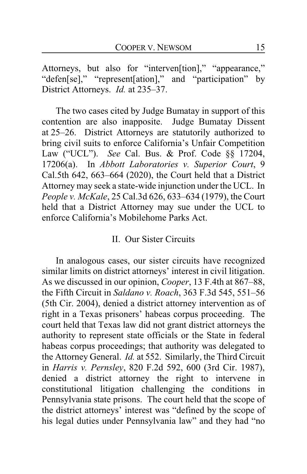Attorneys, but also for "interven[tion]," "appearance," "defen[se]," "represent[ation]," and "participation" by District Attorneys. *Id.* at 235–37.

The two cases cited by Judge Bumatay in support of this contention are also inapposite. Judge Bumatay Dissent at 25–26. District Attorneys are statutorily authorized to bring civil suits to enforce California's Unfair Competition Law ("UCL"). *See* Cal. Bus. & Prof. Code §§ 17204, 17206(a). In *Abbott Laboratories v. Superior Court*, 9 Cal.5th 642, 663–664 (2020), the Court held that a District Attorney may seek a state-wide injunction under the UCL. In *People v. McKale*, 25 Cal.3d 626, 633–634 (1979), the Court held that a District Attorney may sue under the UCL to enforce California's Mobilehome Parks Act.

## II. Our Sister Circuits

In analogous cases, our sister circuits have recognized similar limits on district attorneys' interest in civil litigation. As we discussed in our opinion, *Cooper*, 13 F.4th at 867–88, the Fifth Circuit in *Saldano v. Roach*, 363 F.3d 545, 551–56 (5th Cir. 2004), denied a district attorney intervention as of right in a Texas prisoners' habeas corpus proceeding. The court held that Texas law did not grant district attorneys the authority to represent state officials or the State in federal habeas corpus proceedings; that authority was delegated to the Attorney General. *Id.* at 552. Similarly, the Third Circuit in *Harris v. Pernsley*, 820 F.2d 592, 600 (3rd Cir. 1987), denied a district attorney the right to intervene in constitutional litigation challenging the conditions in Pennsylvania state prisons. The court held that the scope of the district attorneys' interest was "defined by the scope of his legal duties under Pennsylvania law" and they had "no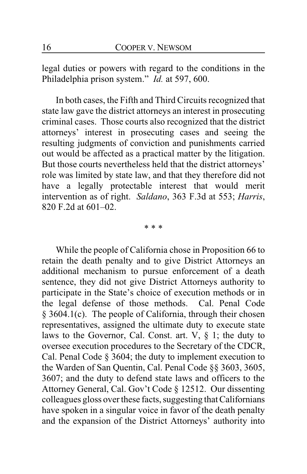legal duties or powers with regard to the conditions in the Philadelphia prison system." *Id.* at 597, 600.

In both cases, the Fifth and Third Circuits recognized that state law gave the district attorneys an interest in prosecuting criminal cases. Those courts also recognized that the district attorneys' interest in prosecuting cases and seeing the resulting judgments of conviction and punishments carried out would be affected as a practical matter by the litigation. But those courts nevertheless held that the district attorneys' role was limited by state law, and that they therefore did not have a legally protectable interest that would merit intervention as of right. *Saldano*, 363 F.3d at 553; *Harris*, 820 F.2d at 601–02.

\* \* \*

While the people of California chose in Proposition 66 to retain the death penalty and to give District Attorneys an additional mechanism to pursue enforcement of a death sentence, they did not give District Attorneys authority to participate in the State's choice of execution methods or in the legal defense of those methods. Cal. Penal Code § 3604.1(c). The people of California, through their chosen representatives, assigned the ultimate duty to execute state laws to the Governor, Cal. Const. art.  $V$ ,  $\S$  1; the duty to oversee execution procedures to the Secretary of the CDCR, Cal. Penal Code § 3604; the duty to implement execution to the Warden of San Quentin, Cal. Penal Code §§ 3603, 3605, 3607; and the duty to defend state laws and officers to the Attorney General, Cal. Gov't Code § 12512. Our dissenting colleagues gloss over these facts, suggesting that Californians have spoken in a singular voice in favor of the death penalty and the expansion of the District Attorneys' authority into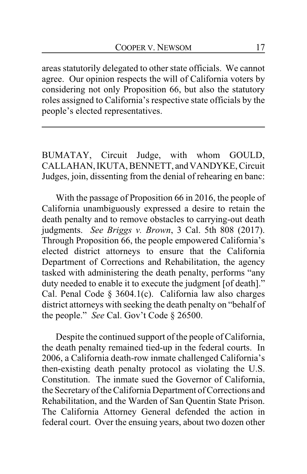areas statutorily delegated to other state officials. We cannot agree. Our opinion respects the will of California voters by considering not only Proposition 66, but also the statutory roles assigned to California's respective state officials by the people's elected representatives.

BUMATAY, Circuit Judge, with whom GOULD, CALLAHAN, IKUTA, BENNETT, and VANDYKE, Circuit Judges, join, dissenting from the denial of rehearing en banc:

With the passage of Proposition 66 in 2016, the people of California unambiguously expressed a desire to retain the death penalty and to remove obstacles to carrying-out death judgments. *See Briggs v. Brown*, 3 Cal. 5th 808 (2017). Through Proposition 66, the people empowered California's elected district attorneys to ensure that the California Department of Corrections and Rehabilitation, the agency tasked with administering the death penalty, performs "any duty needed to enable it to execute the judgment [of death]." Cal. Penal Code  $\S$  3604.1(c). California law also charges district attorneys with seeking the death penalty on "behalf of the people." *See* Cal. Gov't Code § 26500.

Despite the continued support of the people of California, the death penalty remained tied-up in the federal courts. In 2006, a California death-row inmate challenged California's then-existing death penalty protocol as violating the U.S. Constitution. The inmate sued the Governor of California, the Secretary of the California Department of Corrections and Rehabilitation, and the Warden of San Quentin State Prison. The California Attorney General defended the action in federal court. Over the ensuing years, about two dozen other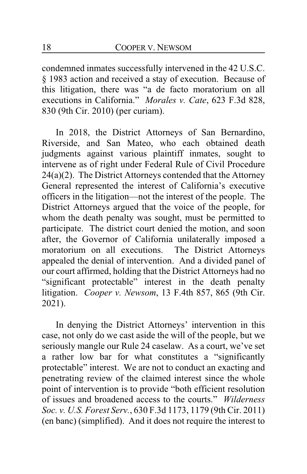condemned inmates successfully intervened in the 42 U.S.C. § 1983 action and received a stay of execution. Because of this litigation, there was "a de facto moratorium on all executions in California." *Morales v. Cate*, 623 F.3d 828, 830 (9th Cir. 2010) (per curiam).

In 2018, the District Attorneys of San Bernardino, Riverside, and San Mateo, who each obtained death judgments against various plaintiff inmates, sought to intervene as of right under Federal Rule of Civil Procedure 24(a)(2). The District Attorneys contended that the Attorney General represented the interest of California's executive officers in the litigation—not the interest of the people. The District Attorneys argued that the voice of the people, for whom the death penalty was sought, must be permitted to participate. The district court denied the motion, and soon after, the Governor of California unilaterally imposed a moratorium on all executions. The District Attorneys appealed the denial of intervention. And a divided panel of our court affirmed, holding that the District Attorneys had no "significant protectable" interest in the death penalty litigation. *Cooper v. Newsom*, 13 F.4th 857, 865 (9th Cir. 2021).

In denying the District Attorneys' intervention in this case, not only do we cast aside the will of the people, but we seriously mangle our Rule 24 caselaw. As a court, we've set a rather low bar for what constitutes a "significantly protectable" interest. We are not to conduct an exacting and penetrating review of the claimed interest since the whole point of intervention is to provide "both efficient resolution of issues and broadened access to the courts." *Wilderness Soc. v. U.S. Forest Serv.*, 630 F.3d 1173, 1179 (9th Cir. 2011) (en banc) (simplified). And it does not require the interest to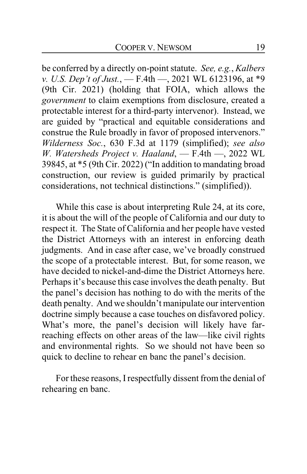be conferred by a directly on-point statute. *See, e.g.*, *Kalbers v. U.S. Dep't of Just.*, — F.4th —, 2021 WL 6123196, at \*9 (9th Cir. 2021) (holding that FOIA, which allows the *government* to claim exemptions from disclosure, created a protectable interest for a third-party intervenor). Instead, we are guided by "practical and equitable considerations and construe the Rule broadly in favor of proposed intervenors." *Wilderness Soc.*, 630 F.3d at 1179 (simplified); *see also W. Watersheds Project v. Haaland*, — F.4th —, 2022 WL 39845, at \*5 (9th Cir. 2022) ("In addition to mandating broad construction, our review is guided primarily by practical considerations, not technical distinctions." (simplified)).

While this case is about interpreting Rule 24, at its core, it is about the will of the people of California and our duty to respect it. The State of California and her people have vested the District Attorneys with an interest in enforcing death judgments. And in case after case, we've broadly construed the scope of a protectable interest. But, for some reason, we have decided to nickel-and-dime the District Attorneys here. Perhaps it's because this case involves the death penalty. But the panel's decision has nothing to do with the merits of the death penalty. And we shouldn't manipulate our intervention doctrine simply because a case touches on disfavored policy. What's more, the panel's decision will likely have farreaching effects on other areas of the law—like civil rights and environmental rights. So we should not have been so quick to decline to rehear en banc the panel's decision.

For these reasons, I respectfully dissent from the denial of rehearing en banc.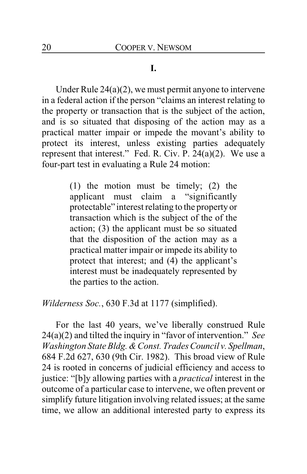## **I.**

Under Rule  $24(a)(2)$ , we must permit anyone to intervene in a federal action if the person "claims an interest relating to the property or transaction that is the subject of the action, and is so situated that disposing of the action may as a practical matter impair or impede the movant's ability to protect its interest, unless existing parties adequately represent that interest." Fed. R. Civ. P. 24(a)(2). We use a four-part test in evaluating a Rule 24 motion:

> (1) the motion must be timely; (2) the applicant must claim a "significantly protectable" interest relating to the property or transaction which is the subject of the of the action; (3) the applicant must be so situated that the disposition of the action may as a practical matter impair or impede its ability to protect that interest; and (4) the applicant's interest must be inadequately represented by the parties to the action.

*Wilderness Soc.*, 630 F.3d at 1177 (simplified).

For the last 40 years, we've liberally construed Rule 24(a)(2) and tilted the inquiry in "favor of intervention." *See Washington State Bldg. & Const. Trades Council v. Spellman*, 684 F.2d 627, 630 (9th Cir. 1982). This broad view of Rule 24 is rooted in concerns of judicial efficiency and access to justice: "[b]y allowing parties with a *practical* interest in the outcome of a particular case to intervene, we often prevent or simplify future litigation involving related issues; at the same time, we allow an additional interested party to express its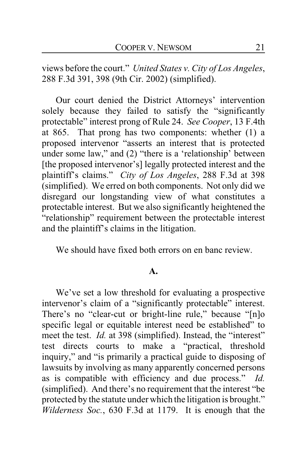views before the court." *United States v. City of Los Angeles*, 288 F.3d 391, 398 (9th Cir. 2002) (simplified).

Our court denied the District Attorneys' intervention solely because they failed to satisfy the "significantly protectable" interest prong of Rule 24. *See Cooper*, 13 F.4th at 865. That prong has two components: whether (1) a proposed intervenor "asserts an interest that is protected under some law," and (2) "there is a 'relationship' between [the proposed intervenor's] legally protected interest and the plaintiff's claims." *City of Los Angeles*, 288 F.3d at 398 (simplified). We erred on both components. Not only did we disregard our longstanding view of what constitutes a protectable interest. But we also significantly heightened the "relationship" requirement between the protectable interest and the plaintiff's claims in the litigation.

We should have fixed both errors on en banc review.

#### **A.**

We've set a low threshold for evaluating a prospective intervenor's claim of a "significantly protectable" interest. There's no "clear-cut or bright-line rule," because "[n]o specific legal or equitable interest need be established" to meet the test. *Id.* at 398 (simplified). Instead, the "interest" test directs courts to make a "practical, threshold inquiry," and "is primarily a practical guide to disposing of lawsuits by involving as many apparently concerned persons as is compatible with efficiency and due process." *Id.* (simplified). And there's no requirement that the interest "be protected by the statute under which the litigation is brought." *Wilderness Soc.*, 630 F.3d at 1179. It is enough that the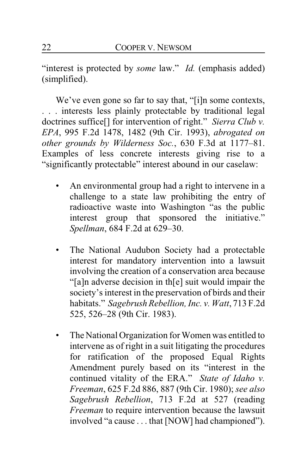"interest is protected by *some* law." *Id.* (emphasis added) (simplified).

We've even gone so far to say that, "[i]n some contexts, . . . interests less plainly protectable by traditional legal doctrines suffice[] for intervention of right." *Sierra Club v. EPA*, 995 F.2d 1478, 1482 (9th Cir. 1993), *abrogated on other grounds by Wilderness Soc.*, 630 F.3d at 1177–81. Examples of less concrete interests giving rise to a "significantly protectable" interest abound in our caselaw:

- An environmental group had a right to intervene in a challenge to a state law prohibiting the entry of radioactive waste into Washington "as the public interest group that sponsored the initiative." *Spellman*, 684 F.2d at 629–30.
- The National Audubon Society had a protectable interest for mandatory intervention into a lawsuit involving the creation of a conservation area because "[a]n adverse decision in th[e] suit would impair the society's interest in the preservation of birds and their habitats." *Sagebrush Rebellion, Inc. v. Watt*, 713 F.2d 525, 526–28 (9th Cir. 1983).
- The National Organization for Women was entitled to intervene as of right in a suit litigating the procedures for ratification of the proposed Equal Rights Amendment purely based on its "interest in the continued vitality of the ERA." *State of Idaho v. Freeman*, 625 F.2d 886, 887 (9th Cir. 1980); *see also Sagebrush Rebellion*, 713 F.2d at 527 (reading *Freeman* to require intervention because the lawsuit involved "a cause . . . that [NOW] had championed").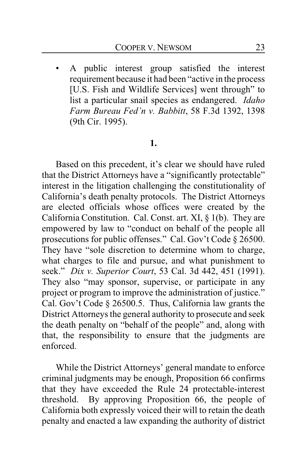• A public interest group satisfied the interest requirement because it had been "active in the process [U.S. Fish and Wildlife Services] went through" to list a particular snail species as endangered. *Idaho Farm Bureau Fed'n v. Babbitt*, 58 F.3d 1392, 1398 (9th Cir. 1995).

#### **1.**

Based on this precedent, it's clear we should have ruled that the District Attorneys have a "significantly protectable" interest in the litigation challenging the constitutionality of California's death penalty protocols. The District Attorneys are elected officials whose offices were created by the California Constitution. Cal. Const. art. XI, § 1(b). They are empowered by law to "conduct on behalf of the people all prosecutions for public offenses." Cal. Gov't Code § 26500. They have "sole discretion to determine whom to charge, what charges to file and pursue, and what punishment to seek." *Dix v. Superior Court*, 53 Cal. 3d 442, 451 (1991). They also "may sponsor, supervise, or participate in any project or program to improve the administration of justice." Cal. Gov't Code § 26500.5. Thus, California law grants the District Attorneys the general authority to prosecute and seek the death penalty on "behalf of the people" and, along with that, the responsibility to ensure that the judgments are enforced.

While the District Attorneys' general mandate to enforce criminal judgments may be enough, Proposition 66 confirms that they have exceeded the Rule 24 protectable-interest threshold. By approving Proposition 66, the people of California both expressly voiced their will to retain the death penalty and enacted a law expanding the authority of district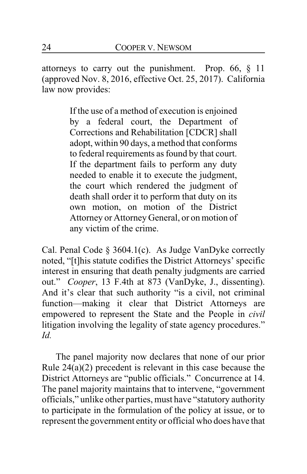attorneys to carry out the punishment. Prop. 66, § 11 (approved Nov. 8, 2016, effective Oct. 25, 2017). California law now provides:

> If the use of a method of execution is enjoined by a federal court, the Department of Corrections and Rehabilitation [CDCR] shall adopt, within 90 days, a method that conforms to federal requirements as found by that court. If the department fails to perform any duty needed to enable it to execute the judgment, the court which rendered the judgment of death shall order it to perform that duty on its own motion, on motion of the District Attorney or Attorney General, or on motion of any victim of the crime.

Cal. Penal Code § 3604.1(c). As Judge VanDyke correctly noted, "[t]his statute codifies the District Attorneys' specific interest in ensuring that death penalty judgments are carried out." *Cooper*, 13 F.4th at 873 (VanDyke, J., dissenting). And it's clear that such authority "is a civil, not criminal function—making it clear that District Attorneys are empowered to represent the State and the People in *civil* litigation involving the legality of state agency procedures." *Id.*

The panel majority now declares that none of our prior Rule 24(a)(2) precedent is relevant in this case because the District Attorneys are "public officials." Concurrence at 14. The panel majority maintains that to intervene, "government officials," unlike other parties, must have "statutory authority to participate in the formulation of the policy at issue, or to represent the government entity or official who does have that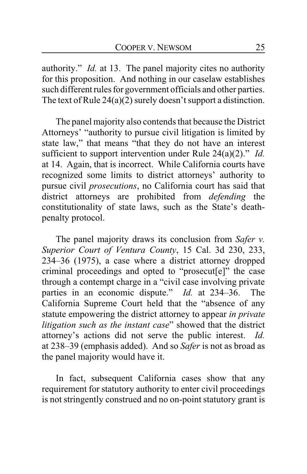authority." *Id.* at 13. The panel majority cites no authority for this proposition. And nothing in our caselaw establishes such different rules for government officials and other parties. The text of Rule 24(a)(2) surely doesn't support a distinction.

The panel majority also contends that because the District Attorneys' "authority to pursue civil litigation is limited by state law," that means "that they do not have an interest sufficient to support intervention under Rule 24(a)(2)." *Id.* at 14. Again, that is incorrect. While California courts have recognized some limits to district attorneys' authority to pursue civil *prosecutions*, no California court has said that district attorneys are prohibited from *defending* the constitutionality of state laws, such as the State's deathpenalty protocol.

The panel majority draws its conclusion from *Safer v. Superior Court of Ventura County*, 15 Cal. 3d 230, 233, 234–36 (1975), a case where a district attorney dropped criminal proceedings and opted to "prosecut[e]" the case through a contempt charge in a "civil case involving private parties in an economic dispute." *Id.* at 234–36. The California Supreme Court held that the "absence of any statute empowering the district attorney to appear *in private litigation such as the instant case*" showed that the district attorney's actions did not serve the public interest. *Id.* at 238–39 (emphasis added). And so *Safer* is not as broad as the panel majority would have it.

In fact, subsequent California cases show that any requirement for statutory authority to enter civil proceedings is not stringently construed and no on-point statutory grant is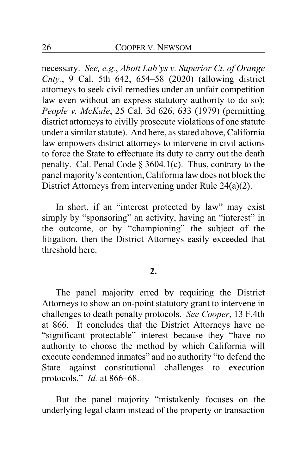necessary. *See, e.g.*, *Abott Lab'ys v. Superior Ct. of Orange Cnty.*, 9 Cal. 5th 642, 654–58 (2020) (allowing district attorneys to seek civil remedies under an unfair competition law even without an express statutory authority to do so); *People v. McKale*, 25 Cal. 3d 626, 633 (1979) (permitting district attorneys to civilly prosecute violations of one statute under a similar statute). And here, as stated above, California law empowers district attorneys to intervene in civil actions to force the State to effectuate its duty to carry out the death penalty. Cal. Penal Code § 3604.1(c). Thus, contrary to the panel majority's contention, California law does not block the District Attorneys from intervening under Rule 24(a)(2).

In short, if an "interest protected by law" may exist simply by "sponsoring" an activity, having an "interest" in the outcome, or by "championing" the subject of the litigation, then the District Attorneys easily exceeded that threshold here.

#### **2.**

The panel majority erred by requiring the District Attorneys to show an on-point statutory grant to intervene in challenges to death penalty protocols. *See Cooper*, 13 F.4th at 866. It concludes that the District Attorneys have no "significant protectable" interest because they "have no authority to choose the method by which California will execute condemned inmates" and no authority "to defend the State against constitutional challenges to execution protocols." *Id.* at 866–68.

But the panel majority "mistakenly focuses on the underlying legal claim instead of the property or transaction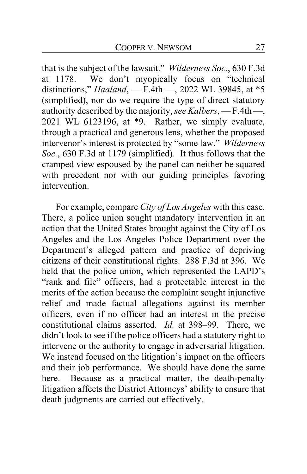that is the subject of the lawsuit." *Wilderness Soc*., 630 F.3d at 1178. We don't myopically focus on "technical distinctions," *Haaland*, — F.4th —, 2022 WL 39845, at \*5 (simplified), nor do we require the type of direct statutory authority described by the majority, *see Kalbers*, — F.4th —, 2021 WL 6123196, at \*9. Rather, we simply evaluate, through a practical and generous lens, whether the proposed intervenor's interest is protected by "some law." *Wilderness Soc.*, 630 F.3d at 1179 (simplified). It thus follows that the cramped view espoused by the panel can neither be squared with precedent nor with our guiding principles favoring intervention.

For example, compare *City of Los Angeles* with this case. There, a police union sought mandatory intervention in an action that the United States brought against the City of Los Angeles and the Los Angeles Police Department over the Department's alleged pattern and practice of depriving citizens of their constitutional rights. 288 F.3d at 396. We held that the police union, which represented the LAPD's "rank and file" officers, had a protectable interest in the merits of the action because the complaint sought injunctive relief and made factual allegations against its member officers, even if no officer had an interest in the precise constitutional claims asserted. *Id.* at 398–99. There, we didn't look to see if the police officers had a statutory right to intervene or the authority to engage in adversarial litigation. We instead focused on the litigation's impact on the officers and their job performance. We should have done the same here. Because as a practical matter, the death-penalty litigation affects the District Attorneys' ability to ensure that death judgments are carried out effectively.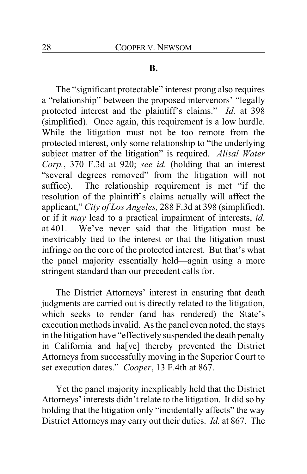#### **B.**

The "significant protectable" interest prong also requires a "relationship" between the proposed intervenors' "legally protected interest and the plaintiff's claims." *Id.* at 398 (simplified). Once again, this requirement is a low hurdle. While the litigation must not be too remote from the protected interest, only some relationship to "the underlying subject matter of the litigation" is required. *Alisal Water Corp.*, 370 F.3d at 920; *see id.* (holding that an interest "several degrees removed" from the litigation will not suffice). The relationship requirement is met "if the resolution of the plaintiff's claims actually will affect the applicant," *City of Los Angeles,* 288 F.3d at 398 (simplified), or if it *may* lead to a practical impairment of interests, *id.* at 401. We've never said that the litigation must be inextricably tied to the interest or that the litigation must infringe on the core of the protected interest. But that's what the panel majority essentially held—again using a more stringent standard than our precedent calls for.

The District Attorneys' interest in ensuring that death judgments are carried out is directly related to the litigation, which seeks to render (and has rendered) the State's execution methods invalid. As the panel even noted, the stays in the litigation have "effectively suspended the death penalty in California and ha[ve] thereby prevented the District Attorneys from successfully moving in the Superior Court to set execution dates." *Cooper*, 13 F.4th at 867.

Yet the panel majority inexplicably held that the District Attorneys' interests didn't relate to the litigation. It did so by holding that the litigation only "incidentally affects" the way District Attorneys may carry out their duties. *Id.* at 867. The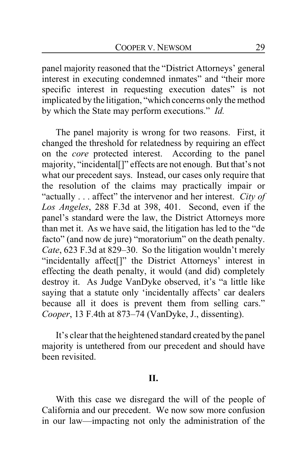panel majority reasoned that the "District Attorneys' general interest in executing condemned inmates" and "their more specific interest in requesting execution dates" is not implicated by the litigation, "which concerns only the method by which the State may perform executions." *Id.*

The panel majority is wrong for two reasons. First, it changed the threshold for relatedness by requiring an effect on the *core* protected interest. According to the panel majority, "incidental[]" effects are not enough. But that's not what our precedent says. Instead, our cases only require that the resolution of the claims may practically impair or "actually . . . affect" the intervenor and her interest. *City of Los Angeles*, 288 F.3d at 398, 401. Second, even if the panel's standard were the law, the District Attorneys more than met it. As we have said, the litigation has led to the "de facto" (and now de jure) "moratorium" on the death penalty. *Cate*, 623 F.3d at 829–30. So the litigation wouldn't merely "incidentally affect[]" the District Attorneys' interest in effecting the death penalty, it would (and did) completely destroy it. As Judge VanDyke observed, it's "a little like saying that a statute only 'incidentally affects' car dealers because all it does is prevent them from selling cars." *Cooper*, 13 F.4th at 873–74 (VanDyke, J., dissenting).

It's clear that the heightened standard created by the panel majority is untethered from our precedent and should have been revisited.

### **II.**

With this case we disregard the will of the people of California and our precedent. We now sow more confusion in our law—impacting not only the administration of the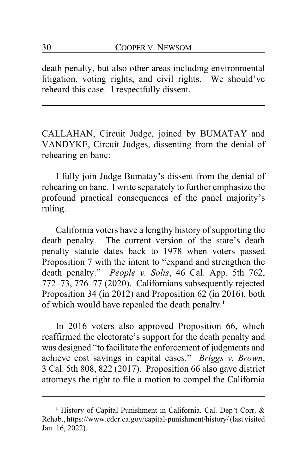death penalty, but also other areas including environmental litigation, voting rights, and civil rights. We should've reheard this case. I respectfully dissent.

CALLAHAN, Circuit Judge, joined by BUMATAY and VANDYKE, Circuit Judges, dissenting from the denial of rehearing en banc:

I fully join Judge Bumatay's dissent from the denial of rehearing en banc. I write separately to further emphasize the profound practical consequences of the panel majority's ruling.

California voters have a lengthy history of supporting the death penalty. The current version of the state's death penalty statute dates back to 1978 when voters passed Proposition 7 with the intent to "expand and strengthen the death penalty." *People v. Solis*, 46 Cal. App. 5th 762, 772–73, 776–77 (2020). Californians subsequently rejected Proposition 34 (in 2012) and Proposition 62 (in 2016), both of which would have repealed the death penalty.**<sup>1</sup>**

In 2016 voters also approved Proposition 66, which reaffirmed the electorate's support for the death penalty and was designed "to facilitate the enforcement of judgments and achieve cost savings in capital cases." *Briggs v. Brown*, 3 Cal. 5th 808, 822 (2017). Proposition 66 also gave district attorneys the right to file a motion to compel the California

**<sup>1</sup>** History of Capital Punishment in California, Cal. Dep't Corr. & Rehab., https://www.cdcr.ca.gov/capital-punishment/history/ (last visited Jan. 16, 2022).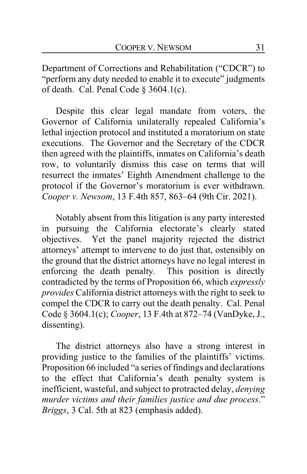Department of Corrections and Rehabilitation ("CDCR") to "perform any duty needed to enable it to execute" judgments of death. Cal. Penal Code § 3604.1(c).

Despite this clear legal mandate from voters, the Governor of California unilaterally repealed California's lethal injection protocol and instituted a moratorium on state executions. The Governor and the Secretary of the CDCR then agreed with the plaintiffs, inmates on California's death row, to voluntarily dismiss this case on terms that will resurrect the inmates' Eighth Amendment challenge to the protocol if the Governor's moratorium is ever withdrawn. *Cooper v. Newsom*, 13 F.4th 857, 863–64 (9th Cir. 2021).

Notably absent from this litigation is any party interested in pursuing the California electorate's clearly stated objectives. Yet the panel majority rejected the district attorneys' attempt to intervene to do just that, ostensibly on the ground that the district attorneys have no legal interest in enforcing the death penalty. This position is directly contradicted by the terms of Proposition 66, which *expressly provides* California district attorneys with the right to seek to compel the CDCR to carry out the death penalty. Cal. Penal Code § 3604.1(c); *Cooper*, 13 F.4th at 872–74 (VanDyke, J., dissenting).

The district attorneys also have a strong interest in providing justice to the families of the plaintiffs' victims. Proposition 66 included "a series of findings and declarations to the effect that California's death penalty system is inefficient, wasteful, and subject to protracted delay, *denying murder victims and their families justice and due process*." *Briggs*, 3 Cal. 5th at 823 (emphasis added).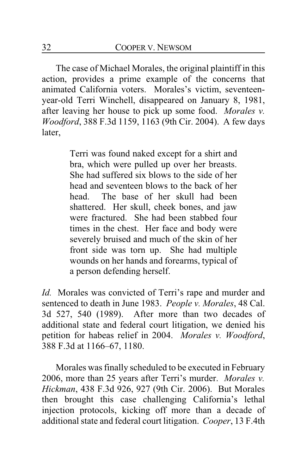The case of Michael Morales, the original plaintiff in this action, provides a prime example of the concerns that animated California voters. Morales's victim, seventeenyear-old Terri Winchell, disappeared on January 8, 1981, after leaving her house to pick up some food. *Morales v. Woodford*, 388 F.3d 1159, 1163 (9th Cir. 2004). A few days later,

> Terri was found naked except for a shirt and bra, which were pulled up over her breasts. She had suffered six blows to the side of her head and seventeen blows to the back of her head. The base of her skull had been shattered. Her skull, cheek bones, and jaw were fractured. She had been stabbed four times in the chest. Her face and body were severely bruised and much of the skin of her front side was torn up. She had multiple wounds on her hands and forearms, typical of a person defending herself.

*Id.* Morales was convicted of Terri's rape and murder and sentenced to death in June 1983. *People v. Morales*, 48 Cal. 3d 527, 540 (1989). After more than two decades of additional state and federal court litigation, we denied his petition for habeas relief in 2004. *Morales v. Woodford*, 388 F.3d at 1166–67, 1180.

Morales was finally scheduled to be executed in February 2006, more than 25 years after Terri's murder. *Morales v. Hickman*, 438 F.3d 926, 927 (9th Cir. 2006). But Morales then brought this case challenging California's lethal injection protocols, kicking off more than a decade of additional state and federal court litigation. *Cooper*, 13 F.4th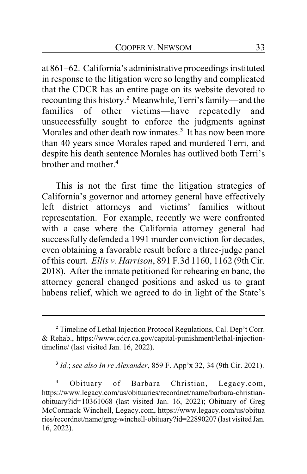at 861–62. California's administrative proceedings instituted in response to the litigation were so lengthy and complicated that the CDCR has an entire page on its website devoted to recounting this history.**<sup>2</sup>** Meanwhile, Terri's family—and the families of other victims—have repeatedly and unsuccessfully sought to enforce the judgments against Morales and other death row inmates.**<sup>3</sup>** It has now been more than 40 years since Morales raped and murdered Terri, and despite his death sentence Morales has outlived both Terri's brother and mother.**<sup>4</sup>**

This is not the first time the litigation strategies of California's governor and attorney general have effectively left district attorneys and victims' families without representation. For example, recently we were confronted with a case where the California attorney general had successfully defended a 1991 murder conviction for decades, even obtaining a favorable result before a three-judge panel of this court. *Ellis v. Harrison*, 891 F.3d 1160, 1162 (9th Cir. 2018). After the inmate petitioned for rehearing en banc, the attorney general changed positions and asked us to grant habeas relief, which we agreed to do in light of the State's

**3** *Id.*; *see also In re Alexander*, 859 F. App'x 32, 34 (9th Cir. 2021).

**<sup>2</sup>** Timeline of Lethal Injection Protocol Regulations, Cal. Dep't Corr. & Rehab., https://www.cdcr.ca.gov/capital-punishment/lethal-injectiontimeline/ (last visited Jan. 16, 2022).

**<sup>4</sup>** Obituary of Barbara Christian, Legacy.com, https://www.legacy.com/us/obituaries/recordnet/name/barbara-christianobituary?id=10361068 (last visited Jan. 16, 2022); Obituary of Greg McCormack Winchell, Legacy.com, https://www.legacy.com/us/obitua ries/recordnet/name/greg-winchell-obituary?id=22890207 (last visited Jan. 16, 2022).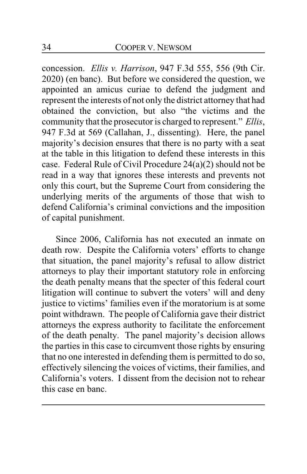concession. *Ellis v. Harrison*, 947 F.3d 555, 556 (9th Cir. 2020) (en banc). But before we considered the question, we appointed an amicus curiae to defend the judgment and represent the interests of not only the district attorney that had obtained the conviction, but also "the victims and the community that the prosecutor is charged to represent." *Ellis*, 947 F.3d at 569 (Callahan, J., dissenting). Here, the panel majority's decision ensures that there is no party with a seat at the table in this litigation to defend these interests in this case. Federal Rule of Civil Procedure 24(a)(2) should not be read in a way that ignores these interests and prevents not only this court, but the Supreme Court from considering the underlying merits of the arguments of those that wish to defend California's criminal convictions and the imposition of capital punishment.

Since 2006, California has not executed an inmate on death row. Despite the California voters' efforts to change that situation, the panel majority's refusal to allow district attorneys to play their important statutory role in enforcing the death penalty means that the specter of this federal court litigation will continue to subvert the voters' will and deny justice to victims' families even if the moratorium is at some point withdrawn. The people of California gave their district attorneys the express authority to facilitate the enforcement of the death penalty. The panel majority's decision allows the parties in this case to circumvent those rights by ensuring that no one interested in defending them is permitted to do so, effectively silencing the voices of victims, their families, and California's voters. I dissent from the decision not to rehear this case en banc.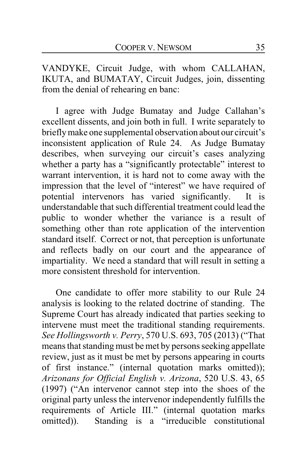VANDYKE, Circuit Judge, with whom CALLAHAN, IKUTA, and BUMATAY, Circuit Judges, join, dissenting from the denial of rehearing en banc:

I agree with Judge Bumatay and Judge Callahan's excellent dissents, and join both in full. I write separately to brieflymake one supplemental observation about our circuit's inconsistent application of Rule 24. As Judge Bumatay describes, when surveying our circuit's cases analyzing whether a party has a "significantly protectable" interest to warrant intervention, it is hard not to come away with the impression that the level of "interest" we have required of potential intervenors has varied significantly. It is understandable that such differential treatment could lead the public to wonder whether the variance is a result of something other than rote application of the intervention standard itself. Correct or not, that perception is unfortunate and reflects badly on our court and the appearance of impartiality. We need a standard that will result in setting a more consistent threshold for intervention.

One candidate to offer more stability to our Rule 24 analysis is looking to the related doctrine of standing. The Supreme Court has already indicated that parties seeking to intervene must meet the traditional standing requirements. *See Hollingsworth v. Perry*, 570 U.S. 693, 705 (2013) ("That means that standing must be met by persons seeking appellate review, just as it must be met by persons appearing in courts of first instance." (internal quotation marks omitted)); *Arizonans for Official English v. Arizona*, 520 U.S. 43, 65 (1997) ("An intervenor cannot step into the shoes of the original party unless the intervenor independently fulfills the requirements of Article III." (internal quotation marks omitted)). Standing is a "irreducible constitutional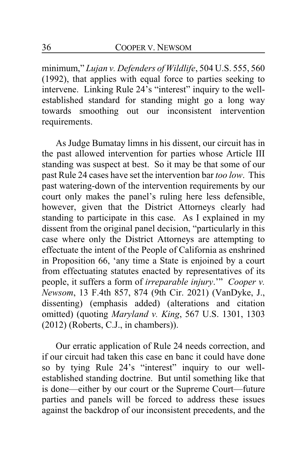minimum," *Lujan v. Defenders of Wildlife*, 504 U.S. 555, 560 (1992), that applies with equal force to parties seeking to intervene. Linking Rule 24's "interest" inquiry to the wellestablished standard for standing might go a long way towards smoothing out our inconsistent intervention requirements.

As Judge Bumatay limns in his dissent, our circuit has in the past allowed intervention for parties whose Article III standing was suspect at best. So it may be that some of our past Rule 24 cases have set the intervention bar *too low*. This past watering-down of the intervention requirements by our court only makes the panel's ruling here less defensible, however, given that the District Attorneys clearly had standing to participate in this case. As I explained in my dissent from the original panel decision, "particularly in this case where only the District Attorneys are attempting to effectuate the intent of the People of California as enshrined in Proposition 66, 'any time a State is enjoined by a court from effectuating statutes enacted by representatives of its people, it suffers a form of *irreparable injury*.'" *Cooper v. Newsom*, 13 F.4th 857, 874 (9th Cir. 2021) (VanDyke, J., dissenting) (emphasis added) (alterations and citation omitted) (quoting *Maryland v. King*, 567 U.S. 1301, 1303 (2012) (Roberts, C.J., in chambers)).

Our erratic application of Rule 24 needs correction, and if our circuit had taken this case en banc it could have done so by tying Rule 24's "interest" inquiry to our wellestablished standing doctrine. But until something like that is done—either by our court or the Supreme Court—future parties and panels will be forced to address these issues against the backdrop of our inconsistent precedents, and the